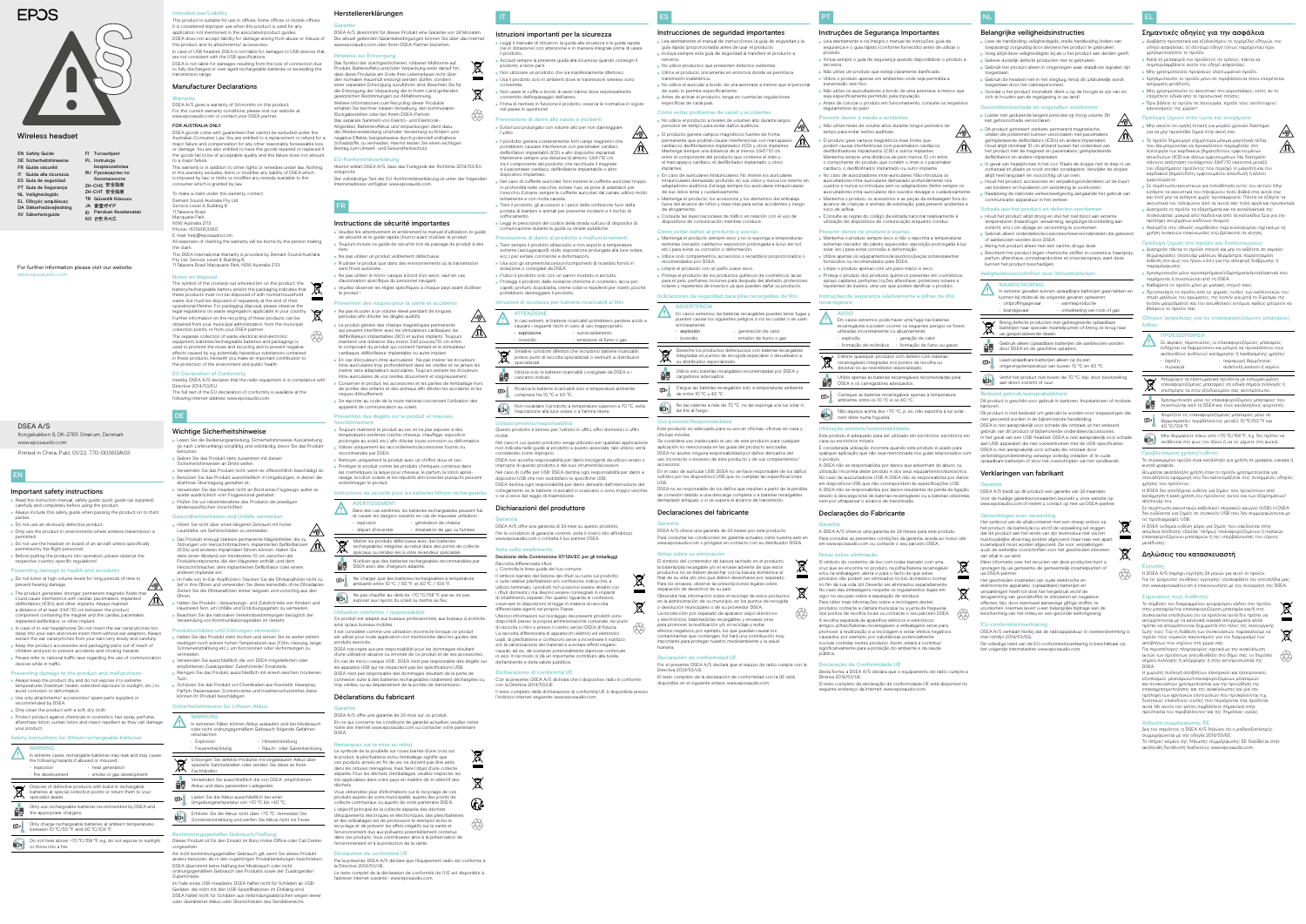Herstellererklärungen

# Garantie

### DSEA A/S übernimmt für dieses Produkt eine Garantie von 24 Monaten. Die aktuell geltenden Garantiebedingungen können Sie über das Internet www.eposaudio.com oder Ihren DSEA-Partner beziehen.

### ise zur Entsorgung

Das Symbol der durchgestrichenen, rollbaren Mülltonne auf Produkt, Batterie/Akku und/oder Verpackung weist darauf hin, s diese Produkte am Ende ihrer Lebensdauer nicht übe den normalen Hausmüll entsorgt werden dürfen, sondern einer separaten Entsorgung zuzuführen sind. Beachten Sie für die Entsorgung der Verpackung die in Ihrem Land geltenden gesetzlichen Bestimmungen zur Abfalltrennung. Weitere Informationen zum Recycling dieser Produkte erhalten Sie bei Ihrer lokalen Verwaltung, den kommunalen Rückgabestellen oder bei Ihrem DSEA-Partner. Das separate Sammeln von Elektro- und Elektronik-Altgeräten, Batterien/Akkus und Verpackungen dient dazu, verwendung und/oder Verwertung zu fördern und negative Effekte, beispielsweise durch potenziell enthaltene Schadstoffe, zu vermeiden. Hiermit leisten Sie einen wichtigen Beitrag zum Umwelt- und Gesundheitsschutz.

t.

⚠

 $\cancel{R}$ 

- >>Veuillez lire attentivement et entièrement le manuel d'utilisation, le guide de sécurité et le guide rapide (fourni) avant d'utiliser le produit. >>Toujours inclure ce guide de sécurité lors du passage du produit à des
- tiers. > Ne pas utiliser un produit visiblement défectueux.
- >>N'utiliser le produit que dans des environnements où la transmission sans fil est autorisée.
- >>Ne pas utiliser le micro-casque à bord d'un avion, sauf en cas
- d'autorisation spécifique du personnel navigant. >>Veuillez observer les règles spécifiques à chaque pays avant d'utiliser
- le produit !
- Prévention des risques pour la santé et accidents >>Ne pas écouter à un volume élevé pendant de longues périodes afin d'éviter les dégâts auditifs.
- > Le produit génère des champs magnétiques permanent qui peuvent interférer avec les stimulateurs cardiaques, les
- $\sqrt{a}$ défibrillateurs implantables (DCI) et autres implants. Toujours maintenir une distance d'au moins 3,94 pouces/10 cm entre le composant du produit qui contient l'aimant et le stimulateur
- cardiaque, défibrillateur implantable ou autre implant. >>En cas d'écouteurs intra-auriculaires : Ne pas insérer les écouteurs intra-auriculaires trop profondément dans les oreilles et ne jamais les
- insérer sans adaptateurs auriculaires. Toujours extraire les écouteurs a-auriculaires de vos oreilles doucement et soigneuse >>Conserver le produit, les accessoires et les parties de l'emballage hors
- de portée des enfants et des animaux afin d'éviter les accidents et les risques d'étouffement. >>Se reporter au code de la route national concernant l'utilisation des eils de communication au volan

Hiermit erklärt DSEA A/S, dass das Funkgerät der Richtlinie 2014/53/EU entspricht. Der vollständige Text der EU-Konformitätserklärung ist unter der folgenden Internetadresse verfügbar: www.eposaudio.com.

# FR

### Instructions de sécurité importantes

>>Protéger le produit contre les produits chimiques contenus dans métiques, la laque pour cheveux, le parfum, la lotion aprèsrasage, la lotion solaire et les répulsifs anti-insectes puisqu'ils peuvent nmager le produit.

Instructions de sécurité pour les batteries lithium recharge

**PEN** Dans des cas extrêmes, les batteries rechargeables peuvent fuir et causer les dangers suivants en cas de mauvaise utilisation :

• génération de chaleur émanation de gaz ou fumées

Il est considéré comme une utilisation incorrecte lorsque ce produit utilisé pour toute application non mentionnée dans les quides des

En ce qui concerne les conditions de garantie actuelles, veuillez visiter notre site Internet www.eposaudio.com ou contacter votre partenair

# Prévention des dégâts sur le produit et mauvais

fonctionnement >>Toujours maintenir le produit au sec et ne pas exposer à des températures extrêmes (sèche-cheveux, chauffage, exposition

- prolongée au soleil, etc.) afin d'éviter toute corrosion ou déformation. >>Utiliser uniquement les raccordements/accessoires fournis ou
- mandés par DSEA. >>Nettoyer uniquement le produit avec un chiffon doux et sec.

DSEA avec des chargeurs adapté

AVERTISSEMENT

• explosion • départ d'incendie

 $\sqrt{2}$ 

 $\cancel{R}$ 

面

Mettre les produits défectueux avec des batteries rechargeables intégrées au rebut dans des points de collecte spéciaux ou rendez-les à votre revendeur spécialisé. N'utiliser que des batteries rechargeables recommandées par

Ne charger que des batteries rechargeables à température ambiante entre 10 °C / 50 °F et 40 °C / 104 °F.

Ne pas chauffer au-delà de +70 °C/158 °F, par ex. ne pas exposer aux rayons du soleil ou mettre au feu.

Utilisation conforme / responsabilité

Ce produit est adapté aux bureaux professionnels, aux bureaux à domicile

ainsi qu'aux bureaux mobiles.

produits associés.

DSEA n'accepte aucune responsabilité pour les dommages résultant d'une utilisation abusive ou erronée de ce produit et de ses accessoires. En cas de micro-casque USB : DSEA n'est pas responsable des dégâts sur les appareils USB qui ne respectent pas les spécifications USB. DSEA n'est pas responsable des dommages résultant de la perte de connexion suite à des batteries rechargeables totalement déchargées ou trop vieilles, ou au dépassement de la portée de transmission.

Déclarations du fabricant

narques sur la mise au reb

Garantie

DSEA A/S offre une garantie de 24 mois sur ce produit.

revenzione di danni alla salute e incidenti >>Evita l'uso prolungato con volume alto per non danneggiare

>>Il prodotto genera costantemente forti campi magnetici che potrebbero causare interferenze con pacemaker cardiaci, defibrillatori impiantabili (ICD) e altri dispositivi impiantati. lantenere sempre una distanza di almeno 3,94°/10 cm tra il componente del prodotto che racchiude il magnete il pacemaker cardiaco, defibrillatore impiantabile o alt

### EU-Konformitätserklär

DSEA.

Nel caso di cuffiette auricolari: Non inserire le cuffiette auricolari troppo in profondità nelle orecchie, evitare l'uso se prive di adattatori per l'orecchio. Estrarre sempre le cuffiette auricolari dal canale uditivo molto

Le symbole de la poubelle sur roues barrée d'une croix sur le produit, la pile/batterie et/ou l'emballage signifie que ces produits, arrivés en fin de vie, ne doivent pas être jetés dans les ordures ménagères, mais faire l'objet d'une collecte séparée. Pour les déchets d'emballages, veuillez respecter les lois applicables dans votre pays en matière de tri sélectif des

déchets.

Vous obtiendrez plus d'informations sur le recyclage de ces poduits auprès de votre municipalité, auprès des p collecte communaux ou auprès de votre partenaire DSEA. L'objectif principal de la collecte séparée des déchets d'équipements électriques et électroniques, des piles/batteries et des emballages est de promouvoir le réemploi et/ou le recyclage et de prévenir les effets négatifs sur la santé et ement dus aux polluants potentiellement contenus dans ces produits. Vous contribuerez ainsi à la préservation de

l'environnement et à la protection de la santé.

Déclaration de conformité UE

Par la présente, DSEA A/S déclare que l'équipement radio est conforme à

la Directive 2014/53/UE.

Le texte complet de la déclaration de conformité de l'UE est disponible à

ぶん

DSEA non accetta responsabilità per danni insorgenti da utilizzo errato o improprio di questo prodotto e dei suoi strumenti/accessori. Nel caso di cuffie per USB: DSEA declina ogni responsabilità per danni a

l'adresse internet suivante : www.eposaudio.com.

DSEA declina ogni responsabilità per danni derivanti dall'interruzione del nento se le batterie ricaricabili si scaricano o sono troppo vecchie,

# EN

### Important safety instructions

Il simbolo barrato del bidone dei rifiuti su ruote sul prodotto o sulle relative pile/batterie e/o confezione, indica che, a utilizzo terminato, i prodotti non possono essere smaltiti con i rifiuti domestici, ma devono essere consegnati in impianti di smaltimento separati. Per quanto riguarda le confezioni, servare le disposizioni di legge in materia di raccolta

- >>Read the instruction manual, safety guide, quick guide (as supplied) carefully and completely before using the product.
- > Always include this safety guide when passing the product on to third parties. >>Do not use an obviously defective product.
- > Only use the product in environments where wireless transmission is
- permitted. >>Do not use the headset on board of an aircraft unless specifically
- permitted by the flight personnel. >>Before putting the products into operation, please observe the

# respective country-specific regulations!

eriori informazioni sul riciclaggio dei presenti prodotti sono disponibili presso la propria amministrazione comunale, nei punti di raccolta o ritiro o presso il centro servizi DSEA di fiducia. La raccolta differenziata di apparecchi elettrici ed elettronici usati, di pile/batterie e confezioni serve a incentivare il riutilizzo e/o la valorizzazione dei materiali e a evitare effetti negativi causati, ad es., da sostanze potenzialmente dannose contenute in essi. In tal modo si dà un importante contributo alla tutela

### específicas de cada país. Cómo evitar problemas de salud y accidentes

- Preventing damage to health and accidents >>Do not listen at high volume levels for long periods of time to prevent hearing damage.
- ⚠ The product generates stronger permanent magnetic fields that<br>could cause interference with cardiac pacemakers, implanted<br>defibrillators (ICDs) and other implants. Always maintain could cause interference with cardiac pacemakers, implanted defibrillators (ICDs) and other implants. Always maintain a distance of at least 3.94"/10 cm between the product component containing the magnet and the cardiac pacemaker implanted defibrillator, or other implant.
- >>In case of in-ear headphones: Do not insert the ear canal phones too deep into your ears and never insert them without ear adapters. Always extract the ear canal phones from your ears very slowly and carefully. >>Keep the product, accessories and packaging parts out of reach of children and pets to prevent accidents and choking hazards.
- >>Please refer to national traffic laws regarding the use of communication devices while in traffic.
- Preventing damage to the product and malfunctions >>Always keep the product dry and do not expose it to extreme
- emperatures (hairdryer, heater, extended exposure to sunlight, etc.) to avoid corrosion or deformation.
- > Use only attachments/ acce recommended by DSEA.
- > Only clean the product with a soft, dry cloth.
- > Protect product against chemicals in cosmetics, hair spray, perfume, aftershave lotion, suntan lotion and insect repellent as they can damage your product.

>>Mantenga el producto siempre seco y no lo exponga a temperaturas mas (secador, calefactor, exposición prolongada a la luz del sol, etc.) para evitar su corrosión o deformación. > Utilice solo complementos, accesorios o recambios proporcionados o

# Safety instructions for lithium rechargeable batteries

En casos extremos, las baterías recargables pueden tener fugas y pueden causar los siguientes peligros si no se cuidan o se usan erróneamente:

### WARNING In extreme cases, rechargable batteries may leak and may cause the following hazards if abused or misused: explosion • heat generation

u distribuidor especializado. Utilice solo baterías recargables recomendadas por DSEA y

### • fire development  $\cdot$  smoke or gas developmen Dispose of defective products with build-in rechargable batteries at special collection points or return them to your

|   | specialist dealer.                                                                   |
|---|--------------------------------------------------------------------------------------|
|   | Only use rechargeable batteries recommended by DSEA and<br>the appropriate chargers. |
| 面 | Only charge rechargeable batteries at ambient temperatures                           |

Se considera uso inadecuado el uso de este producto para cualquie aplicación no mencionada en las guías del producto asociadas. DSEA no asume ninguna responsabilidad por daños derivados del uso incorrecto o excesivo de este producto y de sus complementos/

Only charge rechargeable batteries at ambient temperatures between 10 °C/50 °F and 40 °C/104 °F. Do not heat above +70 °C/158 °F, e.g. do not expose to sunlight or throw into a fire.

For further information please visit our website: www.eposaudio.com

ielamatar

| <b>EN Safety Guide</b>     | FI Turvaohjeet         |
|----------------------------|------------------------|
| DE Sicherheitshinweise     | PL Instrukcje          |
| FR Guide sécurité          | bezpieczeństwa         |
| IT Guida alla sicurezza    | RU Руководство по      |
| ES Guía de seguridad       | безопасности           |
| PT Guia de Segurança       | ZH-CHS 安全指南            |
| <b>NL Veiligheidsgids</b>  | ZH-CHT 安全指南            |
| <b>EL Οδηγός ασφάλειας</b> | TR Güvenlik Kılavuzu   |
| DA Sikkerhedsvejledning    | JA 安全ガイド               |
| SV Säkerhetsguide          | Panduan Keselama<br>ID |
|                            | к∩ 안전 가이드              |

# **EPOS**



IT

Istruzioni importanti per la sicurezza

>>Leggi il manuale di istruzioni, la guida alla sicurezza e la guida rapida (se in dotazione) con attenzione e in maniera integrale prima di usare

### Declaración de conformidad UE Por el presente, DSEA A/S declara que el equipo de radio cumple con la

il prodotto.

>>Accludi sempre la presente guida alla sicurezza quando consegni il

prodotto a terze parti.

>>Non utilizzare un prodotto che sia manifestamente difettoso. >>Usa il prodotto solo in ambienti dove le trasmissioni wireless sono

> Non usare le cuffie a bordo di aerei tranne dove espressamente

consentite.

>>Prima di mettere in funzione il prodotto, osserva le normative in vigore

nel paese in questione!

l'udito.

dispositivo impiantato.

lentamente e con molta cautela.

>>Tieni il prodotto, gli accessori e i pezzi della confezione fuori della portata di bambini e animali per prevenire incidenti e il rischio di

soffocamento.

>>Leggi le prescrizioni del codice della strada sull'uso di dispositivi di comunicazione durante la guida su strade pubbliche. Prevenzione di danni al prodotto e malfunzionamenti >>Tieni sempre il prodotto all'asciutto e non esporlo a temperature

> devolva-os ao revendedor especializado.<br>devolva-os ao revendedor especializado. Utilize apenas as baterias recarregáveis recomendadas pela

Carregue as baterias recarregáveis apenas à temperatura ambiente, entre os 10 ºC e os 40 ºC. □

Não aqueça acima dos +70 ºC, p. ex., não exponha à luz solar, Não aqueça acima dos +70<br>nem deite numa fogueira.

ecc.) per evitare corrosione e deformazioni.

>>Usa solo gli strumenti/accessori/componenti di ricambio forniti in

dotazione o consigliati da DSEA.

>>Pulisci il prodotto solo con un panno morbido e asciutto. > Proteggi il prodotto dalle sostanze chimiche in cosmetici, lacca pe capelli, profumi, dopobarba, creme solari e repellenti per insetti, poiché

potrebbero danneggiare il prodotto.

Istruzioni di sicurezza per batterie ricaricabili al litio

e (asciugacapelli, stufe, esposizione prolungata alla luce solare,

ATTENZIONE

In casi estremi, le batterie ricaricabili potrebbero perdere acido e causare i seguenti rischi in caso di uso inappropriato:

• esplosione • incendio

• surriscaldamento • emissione di fumo o gas

tito dall'equipaggio dell'ae

Smaltire i prodotti difettosi che includono batterie ricaricabili presso punti di raccolta specializzati o restituirli ai distributori

specializzati.

Utilizza solo le batterie ricaricabili consigliate da DSEA e i

caricatori indicati.

Ricarica le batterie ricaricabili solo a temperature ambiente

comprese fra 10 °C e 40 °C.

Non riscaldare il prodotto a temperature superiori a 70 °C, evita

l'esposizione alla luce solare o a fiamme libere.

Utilizzo previsto/responsabilità

Questo prodotto è idoneo per l'utilizzo in uffici, uffici domestici o uffici

mobili.

 $\blacktriangledown$ 

⊈।

Nel caso in cui questo prodotto venga utilizzato per qualsiasi applicazione non indicata nelle guide al prodotto a questo associate, tale utilizzo verrà

- >>Luister niet gedurende langere periodes op hoog volume. Dit kan gehoorschade veroorzaken. >>Dit product genereert sterkere, permanent magnetische
- velden die problemen kunnen veroorzaken met pacemakers, geïmplanteerde defibrillators (ICD's) en andere implantaten. Houd altijd minimaal 10 cm afstand tussen het onderdeel van het product met de magneet en pacemakers, geïmplanteerde defibrillators en andere implantaten.
- >>In geval van headphones in het oor: Plaats de dopjes niet te diep in uw oorkanaal en plaats ze nooit zonder ooradapters. Verwijder de dopjes altijd heel langzaam en voorzichtig uit uw oren.
- >>Houd het product, accessoires en verpakkingsonderdelen uit de buurt van kinderen en huisdieren om verstikking te voorkomen.
- >>Raadpleeg de nationale verkeerswetgeving aangaande het gebruik van nicatie-apparatuur in het verkee

# Schade aan het product en defecte

considerato come improprio.

dispositivi USB che non soddisfano le specifiche USB.

o se si esce dal raggio di trasmissione. Dichiarazioni del produttore

Garanzia

Note sullo smaltir

DSEA A/S offre una garanzia di 24 mesi su questo prodotto. Per le condizioni di garanzia correnti, visita il nostro sito all'indirizzo

- > Houd het product altijd droog en stel het niet bloot aan extrem temperaturen (haardroger, verwarming, langdurige blootstelling aan zonlicht, enz.) om slijtage en vervorming te voorkomen. >>Gebruik alleen onderdelen/accessoires/reserveonderdelen die geleverd
- of aanbevolen worden door DSEA. Reinig het product alleen met een zachte, droge doek
- >>Bescherm het product tegen chemische stoffen in cosmetica, haarspray, parfum, aftershave, zonnebrandcrème en insectensprays, want deze kunnen het product beschadigen.

www.eposaudio.com o contatta il tuo partner DSEA.

Controlla le linee guida del tuo comune

- WAARSCHUWING In extreme gevallen kunnen oplaadbare batterijen gaan lekken en kunnen bij misbruik de volgende gevaren oplev • ontploffingsgevaar • warmteproductie • brandgevaar • ontwikkeling van rook of gas
- Breng defecte producten met geïntegreerde oplaadbare<br>batterijen naar speciale inzamelpunten of breng zo tourie
- batterijen naar speciale inzamelpunten of breng ze terug naar uw gespecialiseerde dealer.
- Gebruik alleen oplaadbare batterijen die aanbevolen worden door DSEA en de geschikte opladers.
- Laad oplaadbare batterijen alleen op bij een ේ∙
- omgevingstemperatuur van tussen 10 °C en 40 °C
- Verhit het product niet boven de 70 °C, bijv. door blootstelling Verhit het product niet bove<br>aan direct zonlicht of vuur.

Decisione della Commissione 97/129/EC per gli imballaggi

Raccolta differenziata rifiuti:

differenziata vigenti nel proprio Paese.

et genoemd worden in de bijbehorende handleiding. DSEA is niet aansprakelijk voor schade die ontstaat uit het verkeerd gebruik van dit product of bijbehorende onderdelen/accessoires. In het geval van een USB-headset: DSEA is niet aansprakelijk voor schade aan USB-apparaten die niet overeenkomen met de USB-specificaties. DSEA is niet aansprakelijk voor schade die ontstaat door verbindingsonderbreking vanwege volledig ontladen of te oude oplaadbare batterijen of door het overschrijden van het zendbereik.

DSEA A/S biedt op dit product een garantie van 24 maanden. Voor de huidige garantievoorwaarden bezoekt u onze website op w.eposaudio.com of neemt u contact op met uw DSEA-partne

dell'ambiente e della salute pubblica.

Con la presente, DSEA A/S dichiara che il dispositivo radio è conforme

con la Direttiva 2014/53/UE.

chiarazione di conformità UE

Il testo completo della dichiarazione di conformità UE è disponibile presso

**ty** 

 $\sim$ ∖ದ∕

l'indirizzo internet seguente: www.eposaudio.com.

ES

### Instrucciones de seguridad importantes

terceros.

- >>Lea atentamente el manual de instrucciones, la guía de seguridad y la guía rápida (proporcionada) antes de usar el producto. >>Incluya siempre esta guía de seguridad al transferir el producto a
- >>No utilice productos que presenten defectos evidentes. >>Utilice el producto únicamente en entornos donde se permita la
- smisión inalámbrica >>No utilice el auricular a bordo de una aeronave a menos que el personal
- de vuelo lo permita específicamente. >>Antes de activar el producto, tenga en cuenta las regulaciones

>>No utilice el producto a niveles de volumen alto durante largos periodos de tiempo para evitar daños auditivos.

> >>Ανατρέξτε στις εθνικές νομοθεσίες περί κυκλοφορίας σχετικά με τη χρήση συσκευών επικοινωνίας ενώ βρίσκεστε σε κίνηση. <mark>Πρόληψη ζημιάς στο προϊόν και δυσλειτ</mark>ο

>>El producto genera campos magnéticos fuertes de forma manente que podrían causar interferencias con marcapasos cardíacos, desfibriladores implantados (ICD) y otros implantes. Mantenga siempre una distancia de al menos 3,94"/10 cm entre el componente del producto que contiene el imán y el marcapasos cardíaco, el desfibrilador implantado u otros

> .<br>αρέχονται ή συνιστώνται από τη DSEA. >>Καθαρίστε το προϊόν μόνο με μαλακό, στεγνό πανί.

implantes.

>>En caso de auriculares intrauriculares: No inserte los auriculares intrauriculares demasiado profundo en sus oídos y nunca los inserte sin adaptadores auditivos. Extraiga siempre los auriculares intrauriculares de sus oídos lenta y cuidadosamente.

- >>Mantenga el producto, los accesorios y los elementos del embalaje fuera del alcance de niños y mascotas para evitar accidentes y riesgo
- >>Consulte las leyes nacionales de tráfico en relación con el uso de dispositivos de comunicación mientras conduce.

## Cómo evitar daños al producto y avería

de ahogamiento.

- recomendados por DSEA. >>Limpie el producto con un paño suave seco. >>Proteja el producto de los productos químicos de cosméticos, lacas
- para el pelo, perfumes, lociones para después del afeitado, protecto solares y repelentes de insectos, ya que pueden dañar su producto. Indicaciones de seguridad para pilas recargables de litio

# **ADVERTENCIA**

| explosión | · generación de calor   |
|-----------|-------------------------|
| incendio  | · emisión de humo o gas |

Deseche los productos defectuosos con baterías recargables integradas en puntos de recogida especiales o devuélvalos a

> αυτά. Με αυτόν τον τρόπο συμβάλλετε σημα<mark>ν</mark> προστασία του περιβάλλοντος και της δημόσιας υγείας.

cargadores adecuados.

Cargue las baterías recargables solo a temperaturas ambiente de entre 10 °C y 40 °C. No las caliente a más de 70 °C, no las exponga a la luz solar ni

las tire al fuego.

Uso previsto/Responsabilidad Este producto es adecuado para su uso en oficinas, oficinas en casa y

oficinas móviles.

 $\cancel{\mathbb{R}}$ 

□□

**ro** 

accesorios.

#### En el caso de auricular USB: DSEA no se hace responsable de los daños sufridos por los dispositivos USB que no cumplan las especificaciones

USB.

Phone: +61744103360 E-mail: help@eposaudio.com

> DSEA no es responsable de los daños que resulten a partir de la pérdida de conexión debido a una descarga completa o a baterías recargables demasiado antiguas, o si se supera el alcance de transmisión.

### Declaraciones del fabricante

Garantía

DSEA A/S ofrece una garantía de 24 meses por este producto. Para consultar las condiciones de garantía actuales, visite nuestra web www.eposaudio.com o póngase en contacto con su distribuidor DSEA.

### Notas sobre su eliminación

El símbolo del contenedor de basura tachado en el producto, la batería/pila recargable y/o el envase advierte de que estos productos no se deben desechar con la basura doméstica al final de su vida útil, sino que deben desecharse por separado. Para los envases, observe las prescripciones legales sobre separación de desechos de su país. Obtendrá más información sobre el reciclaje de estos productos en la administración de su municipio, en los puntos de recogida

Hereby, DSEA A/S declares that the radio equipment is in compliance with Directive 2014/53/EU. The full text of the EU declaration of conformity is available at the following internet address: www.eposaudio.co

> o devolución municipales o de su proveedor DSEA. La recolección por separado de aparatos viejos eléctricos y electrónicos, baterías/pilas recargables y envases sirve para promover la reutilización y/o el reciclaje y evitar efectos negativos, por ejemplo, los que puedan causar los contaminantes que contengan. Así hará una contribución muy

# portante para proteger nuestro medioambiente y la salud

aden und Unfälle vermeiden >>Hören Sie nicht über einen längeren Zeitraum mit hoher

humana.

Directiva 2014/53/UE. El texto completo de la declaración de conformidad con la UE está disponible en el siguiente enlace: www.eposaudio.com.

www.eposaudio.com

> Halten Sie Produkt-, Verpackungs- und Zubehörteile von Kindern und Haustieren fern, um Unfälle und Erstickungsgefahr zu vermeiden. >>Beachten Sie die nationalen Verkehrsbestimmungen bezüglich der Verwendung von Kommunikationsgeräten im Verkehr.

Produktschäden und Störungen ver > Halten Sie das Produkt stets trocken und setzen Sie es weder extre

### Kongebakken 9, DK-2765 Smørum, Denmark DSEA A/S

Printed in China, Publ. 01/22, 770-00360/A03

### Wireless headset

PT

 $\sqrt{2}$ 

# Instruções de Segurança Importantes

In extremen Fällen können Akkus auslaufen und bei Missbrauch oder nicht ordnungsgemäßem Gebrauch folgende Gefahren verursachen: **Explosion** 

- >>Leia atentamente e na íntegra o manual de instruções, guia de segurança e o guia rápido (conforme fornecido) antes de utilizar o
- produto. >>Inclua sempre o guia de segurança quando disponibilizar o produto a
- terceiros. >>Não utilize um produto que esteja claramente danificado.
- >>Utilize o produto apenas em ambientes onde seja permitida a
- transmissão sem fios. >>Não utilize os auscultadores a bordo de uma aeronave, a menos que
- seja especificamente permitido pela tripulação. >>Antes de colocar o produto em funcionamento, consulte os respetivos regulamentos do país!

 $\cancel{\mathbb{R}}$ spezielle Sammelstellen oder senden Sie diese an Ihren Fachhändler.

### Prevenir danos à saúde e acidentes

- >>Não utilize níveis de volume altos durante longos períodos de tempo para evitar lesões auditivas.
- <u>∕⊛∖</u> >>O produto gera campos magnéticos mais fortes que  $\sqrt{V}$ podem causar interferências com pacemakers cardíacos, desfibrilhadores implantados (CDI) e outros implantes. Mantenha sempre uma distância de pelo menos 10 cm entre o componente do produto que contém o íman e o pacemaker cardíaco, o desfibrilhador implantado ou outro implante.
- >>No caso de auscultadores intra-auriculares: Não introduza os auscultadores intra-auriculares demasiado profundamente nos ouvidos e nunca os introduza sem os adaptadores. Retire sempre os auscultadores intra-auriculares dos ouvidos devagar e cuidadosamente.
- >>Mantenha o produto, os acessórios e as peças da embalagem fora do alcance de crianças e animais de estimação, para prevenir acidentes e
- risco de asfixia. >>Consulte as regras do código da estrada nacional relativamente à utilização de dispositivos de comunicação enquanto conduz.

### Prevenir danos no produto e avaria

- >>Mantenha o produto sempre seco e não o exponha a temperaturas extremas (secador de cabelo, aquecedor, exposição prolongada à luz solar, etc.) para evitar corrosão e deformação.
- >>Utilize apenas os equipamentos/acessórios/peças sobressalentes fornecidos ou recomendados pela DSEA.
- >>Limpe o produto apenas com um pano macio e seco. >>Proteja o produto dos produtos químicos presentes em cosméticos, sprays capilares, perfumes, loções aftershave, protetores solares e

### repelentes de insetos, uma vez que podem danificar o produto. Instruções de segurança relativamente a pilhas de lítio

recarregáveis AVISO Em casos extremos, pode haver uma fuga nas baterias recarregáveis e podem ocorrer os seguintes perigos se forem

utilizadas incorretamente ou abusivamente: • explosão • formação de incêndios • formação de fumo ou gases • geração de calor

Elimine quaisquer produtos com defeito com baterias recarregáveis integradas nos pontos de recolha ou

DSEA e os carregadores adequados.

# Utilização prevista/responsabilidade

Este produto é adequado para ser utilizado em escritórios, escritórios em casa ou escritórios móveis. É considerada utilização incorreta quando este produto é usado para

qualquer aplicação que não seja mencionada nos guias relacionados com o produto. A DSEA não se responsabiliza por danos que advenham do abuso ou

utilização incorreta deste produto e dos seus equipamentos/acessórios. No caso de auscultadores USB: A DSEA não se responsabiliza por danos tivos USB que não correspondem às especificações USB. A DSEA não se responsabiliza por danos resultantes de perda de ligação, devido à descarga total de baterias recarregáveis ou a baterias obsoletas,

# nem por ultrapassar o alcance de transmissão. Declarações do Fabricante

Garantia

### A DSEA A/S oferece uma garantia de 24 meses para este produto. Para consultar as presentes condições da garantia, aceda ao nosso site em www.eposaudio.com ou contacte o seu parceiro DSEA.

### Notas sobre eliminação

O símbolo do contentor de lixo com rodas barrado com uma cruz que se encontra no produto, na pilha/bateria recarregável e/ou na embalagem, alerta-o para o facto de que estes  $\overline{\phantom{a}}$ produtos não podem ser eliminados no lixo doméstico norm no fim da sua vida útil. Deverão ser eliminados separadamente. No caso das embalagens, respeite os regulamentos legais em vigor no seu país sobre a separação de resíduos. Para obter mais informações sobre a reciclagem destes produtos contacte a câmara municipal ou a junta de freguesia dos pontos de recolha locais ou contacte o seu parceiro DSEA. **tip** A recolha separada de aparelhos elétricos e eletrónicos antigos, pilhas/baterias recarregáveis e embalagens serve para promover a reutilização e a reciclagem e evitar efeitos negativos usados, por exemplo, por substâncias potencialmente nocivas contidas nestes produtos. Assim, estará a contribuir significativamente para a proteção do ambiente e da saúde

pública.

**tip** 

 $\cancel{\mathbb{Z}}$  $\overline{\phantom{a}}$ 

### Declaração de Conformidade UE

Desta forma, a DSEA A/S declara que o equipamento de rádio cumpre a Diretiva 2014/53/UE. O texto completo da declaração de conformidade UE está disponível no

seguinte endereço da Internet: www.eposaudio.com.

NL

# Belangrijke veiligheidsinstructies

- >>Lees de handleiding, veiligheidsgids, snelle handleiding (indien van
- toepassing) zorgvuldig door alvorens het product te gebruiken.
- >>Voeg altijd deze veiligheidsgids bij als u het product aan derden geeft. >>Gelieve duidelijk defecte producten niet te gebruiken.
- >>Gebruik het product alleen in omgevingen waar draadloze signalen zijn toegestaan.
- >>Gebruik de headset niet in het vliegtuig, tenzij dit uitdrukkelijk wordt toegestaan door het cabineperso
- >>Voordat u het product inschakelt, dient u op de hoogte te zijn van en zich te houden aan de regelgeving in uw land!

### Gezondheidsschade en ongevallen voorkomen

### Veiligheidsvoorschriften voor lithiumbatterijen

### Bedoeld gebruik/aansprakelijkheid Dit product is geschikt voor gebruik in kantoren, thuiskantoren of mobiele

kantoren. Dit product is niet bedoeld om gebruikt te worden voor toepassingen die

Verklaringen van fabrikant

Opmerkingen over verwerking

Het symbool van de afvalcontainer met een streep erdoor op het product, de batterij/accu en/of de verpakking wil zeggen dat dit product aan het einde van zijn levensduur niet via het huishoudelijke afval mag worden afgevoerd, maar naar een apart inzamelpunt moet worden afgevoerd. Zie voor verpakkingen a.u.b. de wettelijke voorschriften voor het gescheiden inleveren

van afval in uw land.

Meer informatie over het recyclen van deze producten kunt u opvragen bij uw gemeente, de gemeentelijk inzamelpunten of

uw DSEA-partner.

Het gescheiden inzamelen van oude elektrische en elektronische apparaten, (oplaadbare) batterije verpakkingen heeft tot doel het hergebruik en/of de terugwinning van grondstoffen te stimuleren en negatieve effecten, bijv. door eventueel aanwezige giftige stoffen, te voorkomen. Hiermee levert u een belangrijke bijdrage aan de bescherming van het milieu en een gezonde leefomgeving.

EU-conformiteitsverklaring

et richtlijn 2014/53/EG.

DSEA A/S verklaart hierbij dat de radioapparatuur in overeenstemming is

De volledige tekst van de EU-conformiteitsverklaring is beschikbaar op

ES

het volgende internetadres: www.eposaudio.com.

**Garantie** 

EL

⚠

Σημαντικές οδηγίες για την ασφάλεια >>Διαβάστε προσεκτικά και εξολοκλήρου το εγχειρίδιο οδηγιών, τον οδηγό ασφαλείας, το σύντομο οδηγό (όπως παρέχονται) πριν

χρησιμοποιήσετε το προϊόν.

>>Κατά τη μεταφορά του προϊόντος σε τρίτους, πάντα να συμπεριλαμβάνετε αυτόν τον οδηγό ασφαλείας. >>Μην χρησιμοποιείτε προφανώς ελαττωματικό προϊόν. >>Χρησιμοποιείτε το προϊόν μόνο σε περιβάλλοντα όπου επιτρέπεται

ασύρματη μετάδοση.

>>Μην χρησιμοποιείτε το ακουστικό στο αεροσκάφος, εκτός αν το

επιτρέπετε ειδικά από το προσωπικό πτήσης.

>>Πριν βάλετε το προϊόν σε λειτουργία, τηρείτε τους αντίστοιχους

κανονισμούς της χώρας!

Πρόληψη ζημιών στην υγεία και ατυχήματα >>Μην ακούτε σε υψηλή ένταση για μεγάλο χρονικό διάστημα

για να μην προκληθεί ζημιά στην ακοή σας.

>>Το προϊόν δημιουργεί ισχυρότερα μόνιμα μαγνητικά πεδία που θα μπορούσαν να προκαλέσουν παρεμβολές στη λειτουργία των καρδιακών βηματοδοτών, εμφυτευμένων απινιδωτών (ICD) και άλλων εμφυτευμάτων. Να διατηρείτε πάντοτε απόσταση τουλάχιστον 3,94"/10 εκατοστά μεταξύ του εξαρτήματος προϊόντος που περιέχει το μαγνήτη και του καρδιακού βηματοδότη, εμφυτευμένου απινιδωτή ή άλλου

εμφυτεύματος.

>>Σε περίπτωση ακουστικών για τοποθέτηση εντός του αυτιού: Μην εισάγετε τα ακουστικά του τηλεφώνου πολύ βαθιά στα αυτιά σας και ποτέ μην τα εισάγετε χωρίς προσαρμογείς. Πάντα να εξάγετε τα ακουστικά του τηλεφώνου από τα αυτιά σας πολύ αργά και προσεκτικά. >>Διατηρείτε το προϊόν, τα εξαρτήματα και τα ανταλλακτικά της συσκευασίας μακριά από παιδιά και από τα κατοικίδια ζώα για την

 $\mathbb{A}$ 

πρόληψη ατυχημάτων κινδύνων πνιγμού.

>>Διατηρείτε πάντα το προϊόν στεγνό και μην το εκθέτετε σε ακραίες θερμοκρασίες (σεσουάρ μαλλιών, θερμάστρα, παρατεταμένη έκθεση στο φως του ήλιου, κ.λπ.) για την αποφυγή διάβρωσης ή

παραμόρφωσης.

>>Χρησιμοποιείτε μόνο προσαρτήματα/εξαρτήματα/ανταλλακτικά που

>>Προστατέψτε το προϊόν από τις χημικές ουσίες των καλλυντικών, του σπρέι μαλλιών, του αρώματος, της λοσιόν για μετά το ξύρισμα, της λοσιόν μαυρίσματος και του απωθητικού εντόμων, καθώς μπορούν να

βλάψουν το προϊόν σας.

Οδηγίες ασφαλείας για τις επαναφορτιζόμενες μπαταρίες

λιθίου

₩

面

ΠΡΟΕΙΔΟΠΟΙΗΣΗ

Σε ακραίες περιπτώσεις, οι επαναφορτιζόμενες μπαταρίες ενδέχεται να διαρρεύσουν και μπορεί να προκαλέσουν τους ακόλουθους κινδύνους κατάχρησης ή λανθασμένης χρήσης:

• έκρηξη • πυρκαγιά • παραγωγή θερμότητας • ανάπτυξη καπνού ή αερίου

Απορρίψτε τα ελαττωματικά προϊόντα με ενσωματωμένες επαναφορτιζόμενες μπαταρίες σε ειδικά σημεία συλλογής ή επιστρέψτε τα στον εξειδικευμένο σας αντιπρόσωπο. Χρησιμοποιείτε μόνο τις επαναφορτιζόμενες μπαταρίες πο συνιστώνται από τη DSEA και τους κατάλληλους φορτιστές.

Φορτίζετε τις επαναφορτιζόμενες μπαταρίες μόνο σε θερμοκρασίες περιβάλλοντος μεταξύ 10 °C/50 °F και 40 °C/104 °F. Μην θερμαίνετε πάνω από +70 °C/158 °F, π.χ. δεν πρέπει να εκτίθενται στο φως του ήλιου ή να τις ρίχνετε στη φωτιά.

Προβλεπόμενη χρήση/ευθύνη

Το συγκεκριμένο προϊόν είναι κατάλληλο για χρήση σε γραφεία, οικιακά ή

κινητά γραφεία.

Θεωρείται ακατάλληλη χρήση όταν το προϊόν χρησιμοποιείται για οποιαδήποτε εφαρμογή που δεν κατονομάζεται στις συνημμένες οδηγίες

χρήσης του προϊόντος.

Η DSEA δεν αποδέχεται ευθύνη για ζημίες που προκύπτουν από κατάχρηση ή κακή χρήση του προϊόντος αυτού και των εξαρτημάτων/

αξεσουάρ του.

Σε περίπτωση ακουστικών καθολικού σειριακού αγωγού (USB): Η DSEA δεν ευθύνεται για ζημιές σε συσκευές USB που δεν συμμορφώνονται με

τις προδιαγραφές USB.

Η DSEA ουδεμία ευθύνη φέρει για ζημιές που οφείλονται στην απώλεια σύνδεσης εξαιτίας πλήρως επαναφορτιζόμενων ή παλαιών επαναφορτιζόμενων μπαταριών ή της υπερβαίνουσας του εύρους

μετάδοσης.

Δηλώσεις του κατασκευαστή

Εγγύηση

Η DSEA A/S παρέχει εγγύηση 24 μηνών για αυτό το προϊόν. Για τις τρέχουσες συνθήκες εγγύησης, επισκεφθείτε την ιστοσελίδα μας στο www.eposaudio.com ή επικοινωνήστε με τον συνεργάτη της DSEA.

Σημειώσεις περί διάθεσης

Το σύμβολο του διαγραμμένου τροχοφόρου κάδου στο προϊόν, στην μπαταρία/την επαναφορτιζόμενη μπαταρία και/ή στη συσκευασία υποδηλώνει ότι τα προϊόντα αυτά δεν πρέπει να απορρίπτονται με τα κανονικά οικιακά απορρίμματα αλλά πρέπει να απορρίπτονται ξεχωριστά στο τέλος της λειτουργικής ζωής τους. Για τη διάθεση των συσκευασιών, παρακαλούμε να τηρείτε τους νομικούς κανονισμούς για τον διαχωρισμό των

αποβλήτων που ισχύουν στη χώρα σας.

Για περισσότερες πληροφορίες σχετικά με την ανακύκλωση αυτών των προϊόντων, απευθυνθείτε στο δήμο σας, το δημόσιο σημείο συλλογής ή απόρριψης ή στην αντιπροσωπεία της

 $\bigotimes_{i=1}^{n} \bigotimes_{i=1}^{n}$ 

 $\mathbb{Z}$ 

DSEA.

Δήλωση συμμόρφι

Η χωριστή συλλογή αποβλήτων ηλεκτρικού και ηλεκτρονικού εξοπλισμού, μπαταριών/επαναφορτιζόμενων μπαταριών και συσκευασιών χρησιμοποιείται για την προώθηση της επαναχρησιμοποίησης και της ανακύκλωσης και για την πρόληψη των αρνητικών επιπτώσεων που προκαλούνται π.χ. δυνητικώς επικίνδυνες ουσίες που περιέχονται στα προϊόντα

Δια του παρόντος, η DSEA A/S δηλώνει ότι ο ραδιοεξοπλισμός

συμμορφώνεται με την οδηγία 2014/53/ΕΕ.

Το πλήρες κείμενο της δήλωσης συμμόρφωσης ΕΕ διατίθεται στην

ακόλουθη διεύθυνση διαδικτύου: www.eposaudio.com.

Intended use/Liability This product is suitable for use in offices, home offices or mobile offices.

It is considered improper use when this product is used for any application not mentioned in the associated product guides. DSEA does not accept liability for damage arising from abuse or misuse of

this product and its attachments/ accessories. In case of USB headset: DSEA is not liable for damages to USB devices that are not consistent with the USB specifications.

DSEA is not liable for damages resulting from the loss of connection due to fully discharged or over aged rechargeable batteries or exceeding the transmission range.

## Manufacturer Declarations

# Warranty

DSEA A/S gives a warranty of 24 months on this product. For the current warranty conditions, please visit our website at www.eposaudio.com or contact your DSEA partner.

# FOR AUSTRALIA ONLY

DSEA goods come with guarantees that cannot be excluded under the Australian Consumer Law. You are entitled to a replacement or refund for a ajor failure and compensation for any other reasonably foreseeable los or damage. You are also entitled to have the goods repaired or replaced if he goods fail to be of acceptable quality and the failure does not amount to a major failure.

This warranty is in addition to other rights or remedies under law. Nothing in this warranty excludes, limits or modifies any liability of DSEA which is imposed by law, or limits or modifies any remedy available to the consumer which is granted by law.

To make a claim under this warranty, contact Demant Sound Australia Pty Ltd Service, Level 4, Building B 1 Talavera Road Macquarie Park NSW Australia 2113.

All expenses of claiming the warranty will be borne by the person making the claim.

The DSEA International Warranty is provided by Demant Sound Australia Pty Ltd, Service, Level 4, Building B, 11 Talavera Road, Macquarie Park, NSW Australia 2113.

### Notes on disposal

The symbol of the crossed-out wheeled bin on the product, the  $\forall$ battery/rechargeable battery and/or the packaging indicates that the products must not be disposed of with normal house **Contract** waste, but must be disposed of separately at the end of their operational lifetime. For packaging disposal, please observe the legal regulations on waste segregation applicable in your country.  $\sim$ Further information on the recycling of these products can be obtained from your municipal administration, from the municipal collection points, or from your DSEA partner. **tip** The separate collection of waste electrical and electronic equipment, batteries/rechargeable batteries and packagings is used to promote the reuse and recycling and to prevent negative effects caused by e.g. potentially hazardous substances contained in these products. Herewith you make an important contribution to the protection of the environment and public health.

### **EU Declaration of Conformity**

# DE

### Wichtige Sicherheitshinweise

>>Lesen Sie die Bedienungsanleitung, Sicherheitshinweise, Kurzanleitung (je nach Lieferumfang) sorgfältig und vollständig, bevor Sie das Produk benutzen.

>>Geben Sie das Produkt stets zusammen mit diesen Sicherheitshinweisen an Dritte weiter. >>Verwenden Sie das Produkt nicht, wenn es offensichtlich beschädigt ist.

- >>Benutzen Sie das Produkt ausschließlich in Umgebungen, in denen die drahtlose Übertragung gestattet ist. >>Verwenden Sie das Headset nicht an Bord eines Flugzeugs, außer es
- rde ausdrücklich vom Flugpersonal gestat
- >>Prüfen Sie vor Inbetriebnahme des Produkts die jeweiligen länderspezifischen Vorschriften!

Lautstärke, um Gehörschäden zu vermeiden. >>Das Produkt erzeugt stärkere permanente Magnetfelder, die zu Störungen von Herzschrittmachern, implantierten Defibrillatoren (ICDs) und anderen Implantaten führen können. Halten Sie

stets einen Abstand von mindestens 10 cm zwischen der Produktkomponente, die den Magneten enthält, und dem Herzschrittmacher, dem implantierten Defibrillator oder einem anderen Implantat ein.

>>Im Falle von In-Ear-Kopfhörern: Stecken Sie die Ohrkanalhörer nicht zu tief in Ihre Ohren und verwenden Sie diese keinesfalls ohne Ohradapte Ziehen Sie die Ohrkanalhörer immer langsam und vorsichtig aus den Ohren.

niedrigen noch extrem hohen Temperaturen aus (Föhn, Heizung, lange Sonneneinstrahlung etc.), um Korrosionen oder Verformungen zu vermeiden. >>Verwenden Sie ausschließlich die von DSEA mitgelieferten oder

- empfohlenen Zusatzgeräte/ Zubehörteile/ Ersatzteile. >>Reinigen Sie das Produkt ausschließlich mit einem weichen, trockenen
- Tuch. >>Schützen Sie das Produkt vor Chemikalien aus Kosmetik, Haarspray, Parfüm, Rasierwasser, Sonnencreme und Insektenschutzmittel, diese können Ihr Produkt beschädigen.

Sicherheitshinweise für Lithium-Akkus

WARNUNG

|   | • Explosion                                               | · Hitzeentwicklung           |
|---|-----------------------------------------------------------|------------------------------|
|   | · Feuerentwicklung                                        | · Rauch- oder Gasentwicklung |
|   |                                                           |                              |
| ے | Entsorgen Sie defekte Produkte mit eingebauten Akkus über |                              |

- Verwenden Sie ausschließlich die von DSEA empfohlenen Akkus und dazu passenden Ladegeräte.
- Laden Sie die Akkus ausschließlich bei einer Umgebungstemperatur von +10 °C bis +40 °C.
- Erhitzen Sie die Akkus nicht über +70 °C. Vermeiden Sie  $\alpha$ Sonneneinstrahlung und werfen Sie Akkus nicht ins Feuer.

# Best Gebrauch/Haftungs

Dieses Produkt ist für den Einsatz im Büro, Home Office oder Call Center vorgesehen. Als nicht bestimmungsgemäßer Gebrauch gilt, wenn Sie dieses Produk anders benutzen, als in den zugehörigen Produktanleitungen beschrieben. DSEA übernimmt keine Haftung bei Missbrauch oder nicht ordnungsgemäßem Gebrauch des Produkts sowie der Zusatzgeräte/ Zubehörteile.

Im Falle eines USB-Headsets: DSEA haftet nicht für Schäden an USB-Geräten, die nicht mit den USB-Spezifikationen im Einklang sind. DSEA haftet nicht für Schäden aus Verbindungsabbrüchen wegen leerer oder überalterter Akkus oder Überschreiten des Sendebereichs.